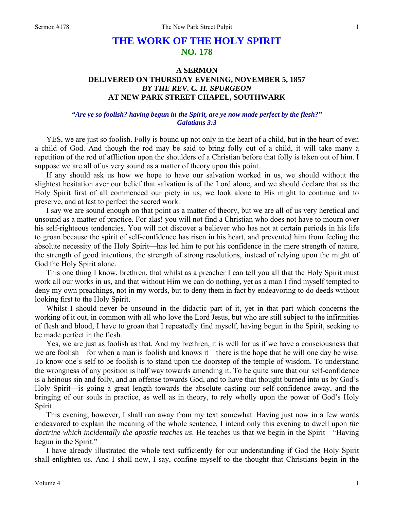## **THE WORK OF THE HOLY SPIRIT NO. 178**

## **A SERMON DELIVERED ON THURSDAY EVENING, NOVEMBER 5, 1857**  *BY THE REV. C. H. SPURGEON*  **AT NEW PARK STREET CHAPEL, SOUTHWARK**

## *"Are ye so foolish? having begun in the Spirit, are ye now made perfect by the flesh?" Galatians 3:3*

YES, we are just so foolish. Folly is bound up not only in the heart of a child, but in the heart of even a child of God. And though the rod may be said to bring folly out of a child, it will take many a repetition of the rod of affliction upon the shoulders of a Christian before that folly is taken out of him. I suppose we are all of us very sound as a matter of theory upon this point.

If any should ask us how we hope to have our salvation worked in us, we should without the slightest hesitation aver our belief that salvation is of the Lord alone, and we should declare that as the Holy Spirit first of all commenced our piety in us, we look alone to His might to continue and to preserve, and at last to perfect the sacred work.

I say we are sound enough on that point as a matter of theory, but we are all of us very heretical and unsound as a matter of practice. For alas! you will not find a Christian who does not have to mourn over his self-righteous tendencies. You will not discover a believer who has not at certain periods in his life to groan because the spirit of self-confidence has risen in his heart, and prevented him from feeling the absolute necessity of the Holy Spirit—has led him to put his confidence in the mere strength of nature, the strength of good intentions, the strength of strong resolutions, instead of relying upon the might of God the Holy Spirit alone.

This one thing I know, brethren, that whilst as a preacher I can tell you all that the Holy Spirit must work all our works in us, and that without Him we can do nothing, yet as a man I find myself tempted to deny my own preachings, not in my words, but to deny them in fact by endeavoring to do deeds without looking first to the Holy Spirit.

Whilst I should never be unsound in the didactic part of it, yet in that part which concerns the working of it out, in common with all who love the Lord Jesus, but who are still subject to the infirmities of flesh and blood, I have to groan that I repeatedly find myself, having begun in the Spirit, seeking to be made perfect in the flesh.

Yes, we are just as foolish as that. And my brethren, it is well for us if we have a consciousness that we are foolish—for when a man is foolish and knows it—there is the hope that he will one day be wise. To know one's self to be foolish is to stand upon the doorstep of the temple of wisdom. To understand the wrongness of any position is half way towards amending it. To be quite sure that our self-confidence is a heinous sin and folly, and an offense towards God, and to have that thought burned into us by God's Holy Spirit—is going a great length towards the absolute casting our self-confidence away, and the bringing of our souls in practice, as well as in theory, to rely wholly upon the power of God's Holy Spirit.

This evening, however, I shall run away from my text somewhat. Having just now in a few words endeavored to explain the meaning of the whole sentence, I intend only this evening to dwell upon *the doctrine which incidentally the apostle teaches us*. He teaches us that we begin in the Spirit—"Having begun in the Spirit."

I have already illustrated the whole text sufficiently for our understanding if God the Holy Spirit shall enlighten us. And I shall now, I say, confine myself to the thought that Christians begin in the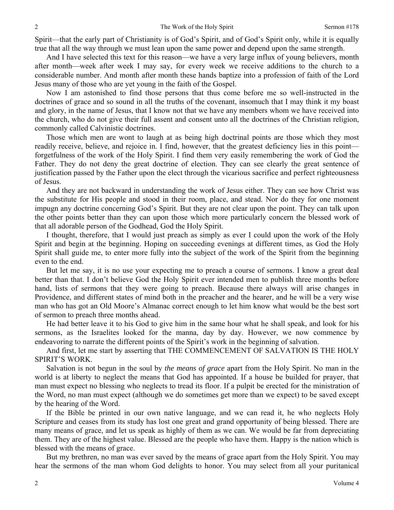Spirit—that the early part of Christianity is of God's Spirit, and of God's Spirit only, while it is equally true that all the way through we must lean upon the same power and depend upon the same strength.

And I have selected this text for this reason—we have a very large influx of young believers, month after month—week after week I may say, for every week we receive additions to the church to a considerable number. And month after month these hands baptize into a profession of faith of the Lord Jesus many of those who are yet young in the faith of the Gospel.

Now I am astonished to find those persons that thus come before me so well-instructed in the doctrines of grace and so sound in all the truths of the covenant, insomuch that I may think it my boast and glory, in the name of Jesus, that I know not that we have any members whom we have received into the church, who do not give their full assent and consent unto all the doctrines of the Christian religion, commonly called Calvinistic doctrines.

Those which men are wont to laugh at as being high doctrinal points are those which they most readily receive, believe, and rejoice in. I find, however, that the greatest deficiency lies in this point forgetfulness of the work of the Holy Spirit. I find them very easily remembering the work of God the Father. They do not deny the great doctrine of election. They can see clearly the great sentence of justification passed by the Father upon the elect through the vicarious sacrifice and perfect righteousness of Jesus.

And they are not backward in understanding the work of Jesus either. They can see how Christ was the substitute for His people and stood in their room, place, and stead. Nor do they for one moment impugn any doctrine concerning God's Spirit. But they are not clear upon the point. They can talk upon the other points better than they can upon those which more particularly concern the blessed work of that all adorable person of the Godhead, God the Holy Spirit.

I thought, therefore, that I would just preach as simply as ever I could upon the work of the Holy Spirit and begin at the beginning. Hoping on succeeding evenings at different times, as God the Holy Spirit shall guide me, to enter more fully into the subject of the work of the Spirit from the beginning even to the end.

But let me say, it is no use your expecting me to preach a course of sermons. I know a great deal better than that. I don't believe God the Holy Spirit ever intended men to publish three months before hand, lists of sermons that they were going to preach. Because there always will arise changes in Providence, and different states of mind both in the preacher and the hearer, and he will be a very wise man who has got an Old Moore's Almanac correct enough to let him know what would be the best sort of sermon to preach three months ahead.

He had better leave it to his God to give him in the same hour what he shall speak, and look for his sermons, as the Israelites looked for the manna, day by day. However, we now commence by endeavoring to narrate the different points of the Spirit's work in the beginning of salvation.

And first, let me start by asserting that THE COMMENCEMENT OF SALVATION IS THE HOLY SPIRIT'S WORK.

Salvation is not begun in the soul by *the means of grace* apart from the Holy Spirit. No man in the world is at liberty to neglect the means that God has appointed. If a house be builded for prayer, that man must expect no blessing who neglects to tread its floor. If a pulpit be erected for the ministration of the Word, no man must expect (although we do sometimes get more than we expect) to be saved except by the hearing of the Word.

If the Bible be printed in our own native language, and we can read it, he who neglects Holy Scripture and ceases from its study has lost one great and grand opportunity of being blessed. There are many means of grace, and let us speak as highly of them as we can. We would be far from depreciating them. They are of the highest value. Blessed are the people who have them. Happy is the nation which is blessed with the means of grace.

But my brethren, no man was ever saved by the means of grace apart from the Holy Spirit. You may hear the sermons of the man whom God delights to honor. You may select from all your puritanical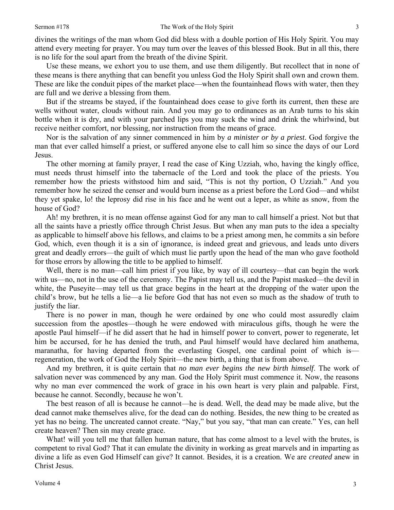divines the writings of the man whom God did bless with a double portion of His Holy Spirit. You may attend every meeting for prayer. You may turn over the leaves of this blessed Book. But in all this, there is no life for the soul apart from the breath of the divine Spirit.

Use these means, we exhort you to use them, and use them diligently. But recollect that in none of these means is there anything that can benefit you unless God the Holy Spirit shall own and crown them. These are like the conduit pipes of the market place—when the fountainhead flows with water, then they are full and we derive a blessing from them.

But if the streams be stayed, if the fountainhead does cease to give forth its current, then these are wells without water, clouds without rain. And you may go to ordinances as an Arab turns to his skin bottle when it is dry, and with your parched lips you may suck the wind and drink the whirlwind, but receive neither comfort, nor blessing, nor instruction from the means of grace.

Nor is the salvation of any sinner commenced in him by *a minister or by a priest*. God forgive the man that ever called himself a priest, or suffered anyone else to call him so since the days of our Lord Jesus.

The other morning at family prayer, I read the case of King Uzziah, who, having the kingly office, must needs thrust himself into the tabernacle of the Lord and took the place of the priests. You remember how the priests withstood him and said, "This is not thy portion, O Uzziah." And you remember how he seized the censer and would burn incense as a priest before the Lord God—and whilst they yet spake, lo! the leprosy did rise in his face and he went out a leper, as white as snow, from the house of God?

Ah! my brethren, it is no mean offense against God for any man to call himself a priest. Not but that all the saints have a priestly office through Christ Jesus. But when any man puts to the idea a specialty as applicable to himself above his fellows, and claims to be a priest among men, he commits a sin before God, which, even though it is a sin of ignorance, is indeed great and grievous, and leads unto divers great and deadly errors—the guilt of which must lie partly upon the head of the man who gave foothold for those errors by allowing the title to be applied to himself.

Well, there is no man—call him priest if you like, by way of ill courtesy—that can begin the work with us—no, not in the use of the ceremony. The Papist may tell us, and the Papist masked—the devil in white, the Puseyite—may tell us that grace begins in the heart at the dropping of the water upon the child's brow, but he tells a lie—a lie before God that has not even so much as the shadow of truth to justify the liar.

There is no power in man, though he were ordained by one who could most assuredly claim succession from the apostles—though he were endowed with miraculous gifts, though he were the apostle Paul himself—if he did assert that he had in himself power to convert, power to regenerate, let him be accursed, for he has denied the truth, and Paul himself would have declared him anathema, maranatha, for having departed from the everlasting Gospel, one cardinal point of which is regeneration, the work of God the Holy Spirit—the new birth, a thing that is from above.

And my brethren, it is quite certain that *no man ever begins the new birth himself*. The work of salvation never was commenced by any man. God the Holy Spirit must commence it. Now, the reasons why no man ever commenced the work of grace in his own heart is very plain and palpable. First, because he cannot. Secondly, because he won't.

The best reason of all is because he cannot—he is dead. Well, the dead may be made alive, but the dead cannot make themselves alive, for the dead can do nothing. Besides, the new thing to be created as yet has no being. The uncreated cannot create. "Nay," but you say, "that man can create." Yes, can hell create heaven? Then sin may create grace.

What! will you tell me that fallen human nature, that has come almost to a level with the brutes, is competent to rival God? That it can emulate the divinity in working as great marvels and in imparting as divine a life as even God Himself can give? It cannot. Besides, it is a creation. We are *created* anew in Christ Jesus.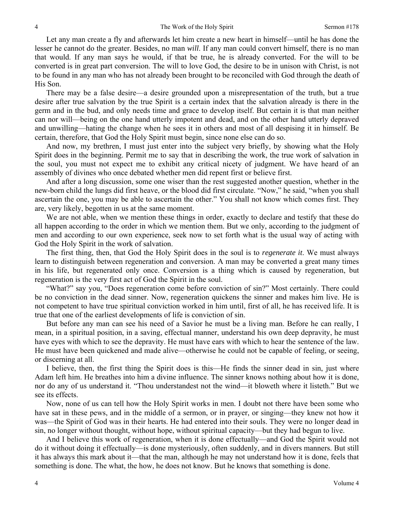Let any man create a fly and afterwards let him create a new heart in himself—until he has done the lesser he cannot do the greater. Besides, no man *will*. If any man could convert himself, there is no man that would. If any man says he would, if that be true, he is already converted. For the will to be converted is in great part conversion. The will to love God, the desire to be in unison with Christ, is not to be found in any man who has not already been brought to be reconciled with God through the death of His Son.

There may be a false desire—a desire grounded upon a misrepresentation of the truth, but a true desire after true salvation by the true Spirit is a certain index that the salvation already is there in the germ and in the bud, and only needs time and grace to develop itself. But certain it is that man neither can nor will—being on the one hand utterly impotent and dead, and on the other hand utterly depraved and unwilling—hating the change when he sees it in others and most of all despising it in himself. Be certain, therefore, that God the Holy Spirit must begin, since none else can do so.

And now, my brethren, I must just enter into the subject very briefly, by showing what the Holy Spirit does in the beginning. Permit me to say that in describing the work, the true work of salvation in the soul, you must not expect me to exhibit any critical nicety of judgment. We have heard of an assembly of divines who once debated whether men did repent first or believe first.

And after a long discussion, some one wiser than the rest suggested another question, whether in the new-born child the lungs did first heave, or the blood did first circulate. "Now," he said, "when you shall ascertain the one, you may be able to ascertain the other." You shall not know which comes first. They are, very likely, begotten in us at the same moment.

We are not able, when we mention these things in order, exactly to declare and testify that these do all happen according to the order in which we mention them. But we only, according to the judgment of men and according to our own experience, seek now to set forth what is the usual way of acting with God the Holy Spirit in the work of salvation.

The first thing, then, that God the Holy Spirit does in the soul is to *regenerate it*. We must always learn to distinguish between regeneration and conversion. A man may be converted a great many times in his life, but regenerated only once. Conversion is a thing which is caused by regeneration, but regeneration is the very first act of God the Spirit in the soul.

"What?" say you, "Does regeneration come before conviction of sin?" Most certainly. There could be no conviction in the dead sinner. Now, regeneration quickens the sinner and makes him live. He is not competent to have true spiritual conviction worked in him until, first of all, he has received life. It is true that one of the earliest developments of life is conviction of sin.

But before any man can see his need of a Savior he must be a living man. Before he can really, I mean, in a spiritual position, in a saving, effectual manner, understand his own deep depravity, he must have eyes with which to see the depravity. He must have ears with which to hear the sentence of the law. He must have been quickened and made alive—otherwise he could not be capable of feeling, or seeing, or discerning at all.

I believe, then, the first thing the Spirit does is this—He finds the sinner dead in sin, just where Adam left him. He breathes into him a divine influence. The sinner knows nothing about how it is done, nor do any of us understand it. "Thou understandest not the wind—it bloweth where it listeth." But we see its effects.

Now, none of us can tell how the Holy Spirit works in men. I doubt not there have been some who have sat in these pews, and in the middle of a sermon, or in prayer, or singing—they knew not how it was—the Spirit of God was in their hearts. He had entered into their souls. They were no longer dead in sin, no longer without thought, without hope, without spiritual capacity—but they had begun to live.

And I believe this work of regeneration, when it is done effectually—and God the Spirit would not do it without doing it effectually—is done mysteriously, often suddenly, and in divers manners. But still it has always this mark about it—that the man, although he may not understand how it is done, feels that something is done. The what, the how, he does not know. But he knows that something is done.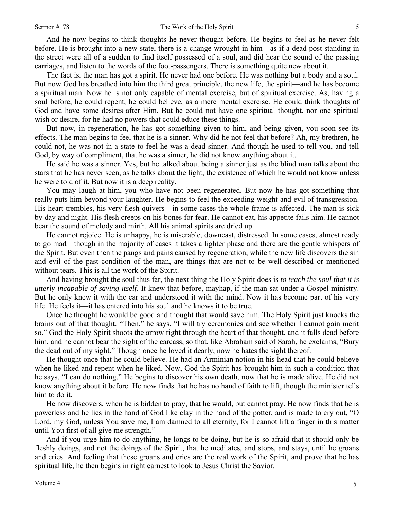And he now begins to think thoughts he never thought before. He begins to feel as he never felt before. He is brought into a new state, there is a change wrought in him—as if a dead post standing in the street were all of a sudden to find itself possessed of a soul, and did hear the sound of the passing carriages, and listen to the words of the foot-passengers. There is something quite new about it.

The fact is, the man has got a spirit. He never had one before. He was nothing but a body and a soul. But now God has breathed into him the third great principle, the new life, the spirit—and he has become a spiritual man. Now he is not only capable of mental exercise, but of spiritual exercise. As, having a soul before, he could repent, he could believe, as a mere mental exercise. He could think thoughts of God and have some desires after Him. But he could not have one spiritual thought, nor one spiritual wish or desire, for he had no powers that could educe these things.

But now, in regeneration, he has got something given to him, and being given, you soon see its effects. The man begins to feel that he is a sinner. Why did he not feel that before? Ah, my brethren, he could not, he was not in a state to feel he was a dead sinner. And though he used to tell you, and tell God, by way of compliment, that he was a sinner, he did not know anything about it.

He said he was a sinner. Yes, but he talked about being a sinner just as the blind man talks about the stars that he has never seen, as he talks about the light, the existence of which he would not know unless he were told of it. But now it is a deep reality.

You may laugh at him, you who have not been regenerated. But now he has got something that really puts him beyond your laughter. He begins to feel the exceeding weight and evil of transgression. His heart trembles, his very flesh quivers—in some cases the whole frame is affected. The man is sick by day and night. His flesh creeps on his bones for fear. He cannot eat, his appetite fails him. He cannot bear the sound of melody and mirth. All his animal spirits are dried up.

He cannot rejoice. He is unhappy, he is miserable, downcast, distressed. In some cases, almost ready to go mad—though in the majority of cases it takes a lighter phase and there are the gentle whispers of the Spirit. But even then the pangs and pains caused by regeneration, while the new life discovers the sin and evil of the past condition of the man, are things that are not to be well-described or mentioned without tears. This is all the work of the Spirit.

And having brought the soul thus far, the next thing the Holy Spirit does is *to teach the soul that it is utterly incapable of saving itself*. It knew that before, mayhap, if the man sat under a Gospel ministry. But he only knew it with the ear and understood it with the mind. Now it has become part of his very life. He feels it—it has entered into his soul and he knows it to be true.

Once he thought he would be good and thought that would save him. The Holy Spirit just knocks the brains out of that thought. "Then," he says, "I will try ceremonies and see whether I cannot gain merit so." God the Holy Spirit shoots the arrow right through the heart of that thought, and it falls dead before him, and he cannot bear the sight of the carcass, so that, like Abraham said of Sarah, he exclaims, "Bury the dead out of my sight." Though once he loved it dearly, now he hates the sight thereof.

He thought once that he could believe. He had an Arminian notion in his head that he could believe when he liked and repent when he liked. Now, God the Spirit has brought him in such a condition that he says, "I can do nothing." He begins to discover his own death, now that he is made alive. He did not know anything about it before. He now finds that he has no hand of faith to lift, though the minister tells him to do it.

He now discovers, when he is bidden to pray, that he would, but cannot pray. He now finds that he is powerless and he lies in the hand of God like clay in the hand of the potter, and is made to cry out, "O Lord, my God, unless You save me, I am damned to all eternity, for I cannot lift a finger in this matter until You first of all give me strength."

And if you urge him to do anything, he longs to be doing, but he is so afraid that it should only be fleshly doings, and not the doings of the Spirit, that he meditates, and stops, and stays, until he groans and cries. And feeling that these groans and cries are the real work of the Spirit, and prove that he has spiritual life, he then begins in right earnest to look to Jesus Christ the Savior.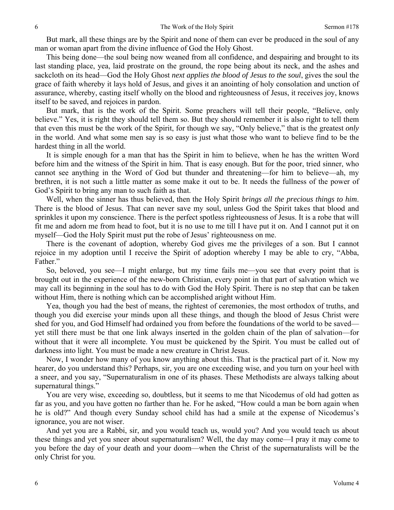But mark, all these things are by the Spirit and none of them can ever be produced in the soul of any man or woman apart from the divine influence of God the Holy Ghost.

This being done—the soul being now weaned from all confidence, and despairing and brought to its last standing place, yea, laid prostrate on the ground, the rope being about its neck, and the ashes and sackcloth on its head—God the Holy Ghost *next applies the blood of Jesus to the soul*, gives the soul the grace of faith whereby it lays hold of Jesus, and gives it an anointing of holy consolation and unction of assurance, whereby, casting itself wholly on the blood and righteousness of Jesus, it receives joy, knows itself to be saved, and rejoices in pardon.

But mark, that is the work of the Spirit. Some preachers will tell their people, "Believe, only believe." Yes, it is right they should tell them so. But they should remember it is also right to tell them that even this must be the work of the Spirit, for though we say, "Only believe," that is the greatest *only* in the world. And what some men say is so easy is just what those who want to believe find to be the hardest thing in all the world.

It is simple enough for a man that has the Spirit in him to believe, when he has the written Word before him and the witness of the Spirit in him. That is easy enough. But for the poor, tried sinner, who cannot see anything in the Word of God but thunder and threatening—for him to believe—ah, my brethren, it is not such a little matter as some make it out to be. It needs the fullness of the power of God's Spirit to bring any man to such faith as that.

Well, when the sinner has thus believed, then the Holy Spirit *brings all the precious things to him*. There is the blood of Jesus. That can never save my soul, unless God the Spirit takes that blood and sprinkles it upon my conscience. There is the perfect spotless righteousness of Jesus. It is a robe that will fit me and adorn me from head to foot, but it is no use to me till I have put it on. And I cannot put it on myself—God the Holy Spirit must put the robe of Jesus' righteousness on me.

There is the covenant of adoption, whereby God gives me the privileges of a son. But I cannot rejoice in my adoption until I receive the Spirit of adoption whereby I may be able to cry, "Abba, Father."

So, beloved, you see—I might enlarge, but my time fails me—you see that every point that is brought out in the experience of the new-born Christian, every point in that part of salvation which we may call its beginning in the soul has to do with God the Holy Spirit. There is no step that can be taken without Him, there is nothing which can be accomplished aright without Him.

Yea, though you had the best of means, the rightest of ceremonies, the most orthodox of truths, and though you did exercise your minds upon all these things, and though the blood of Jesus Christ were shed for you, and God Himself had ordained you from before the foundations of the world to be saved yet still there must be that one link always inserted in the golden chain of the plan of salvation—for without that it were all incomplete. You must be quickened by the Spirit. You must be called out of darkness into light. You must be made a new creature in Christ Jesus.

Now, I wonder how many of you know anything about this. That is the practical part of it. Now my hearer, do you understand this? Perhaps, sir, you are one exceeding wise, and you turn on your heel with a sneer, and you say, "Supernaturalism in one of its phases. These Methodists are always talking about supernatural things."

You are very wise, exceeding so, doubtless, but it seems to me that Nicodemus of old had gotten as far as you, and you have gotten no farther than he. For he asked, "How could a man be born again when he is old?" And though every Sunday school child has had a smile at the expense of Nicodemus's ignorance, you are not wiser.

And yet you are a Rabbi, sir, and you would teach us, would you? And you would teach us about these things and yet you sneer about supernaturalism? Well, the day may come—I pray it may come to you before the day of your death and your doom—when the Christ of the supernaturalists will be the only Christ for you.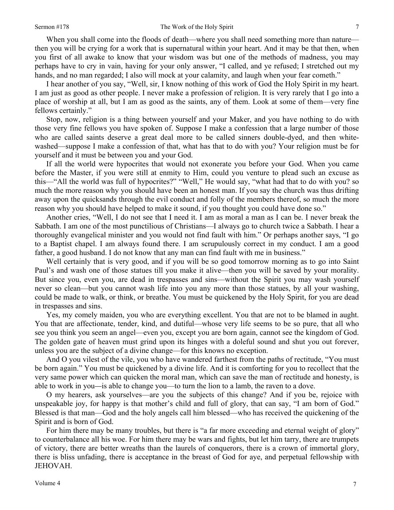When you shall come into the floods of death—where you shall need something more than nature then you will be crying for a work that is supernatural within your heart. And it may be that then, when you first of all awake to know that your wisdom was but one of the methods of madness, you may perhaps have to cry in vain, having for your only answer, "I called, and ye refused; I stretched out my hands, and no man regarded; I also will mock at your calamity, and laugh when your fear cometh."

I hear another of you say, "Well, sir, I know nothing of this work of God the Holy Spirit in my heart. I am just as good as other people. I never make a profession of religion. It is very rarely that I go into a place of worship at all, but I am as good as the saints, any of them. Look at some of them—very fine fellows certainly."

Stop, now, religion is a thing between yourself and your Maker, and you have nothing to do with those very fine fellows you have spoken of. Suppose I make a confession that a large number of those who are called saints deserve a great deal more to be called sinners double-dyed, and then whitewashed—suppose I make a confession of that, what has that to do with you? Your religion must be for yourself and it must be between you and your God.

If all the world were hypocrites that would not exonerate you before your God. When you came before the Master, if you were still at enmity to Him, could you venture to plead such an excuse as this—"All the world was full of hypocrites?" "Well," He would say, "what had that to do with you? so much the more reason why you should have been an honest man. If you say the church was thus drifting away upon the quicksands through the evil conduct and folly of the members thereof, so much the more reason why you should have helped to make it sound, if you thought you could have done so."

Another cries, "Well, I do not see that I need it. I am as moral a man as I can be. I never break the Sabbath. I am one of the most punctilious of Christians—I always go to church twice a Sabbath. I hear a thoroughly evangelical minister and you would not find fault with him." Or perhaps another says, "I go to a Baptist chapel. I am always found there. I am scrupulously correct in my conduct. I am a good father, a good husband. I do not know that any man can find fault with me in business."

Well certainly that is very good, and if you will be so good tomorrow morning as to go into Saint Paul's and wash one of those statues till you make it alive—then you will be saved by your morality. But since you, even you, are dead in trespasses and sins—without the Spirit you may wash yourself never so clean—but you cannot wash life into you any more than those statues, by all your washing, could be made to walk, or think, or breathe. You must be quickened by the Holy Spirit, for you are dead in trespasses and sins.

Yes, my comely maiden, you who are everything excellent. You that are not to be blamed in aught. You that are affectionate, tender, kind, and dutiful—whose very life seems to be so pure, that all who see you think you seem an angel—even you, except you are born again, cannot see the kingdom of God. The golden gate of heaven must grind upon its hinges with a doleful sound and shut you out forever, unless you are the subject of a divine change—for this knows no exception.

And O you vilest of the vile, you who have wandered farthest from the paths of rectitude, "You must be born again." You must be quickened by a divine life. And it is comforting for you to recollect that the very same power which can quicken the moral man, which can save the man of rectitude and honesty, is able to work in you*—*is able to change you—to turn the lion to a lamb, the raven to a dove.

O my hearers, ask yourselves—are you the subjects of this change? And if you be, rejoice with unspeakable joy, for happy is that mother's child and full of glory, that can say, "I am born of God." Blessed is that man—God and the holy angels call him blessed—who has received the quickening of the Spirit and is born of God.

For him there may be many troubles, but there is "a far more exceeding and eternal weight of glory" to counterbalance all his woe. For him there may be wars and fights, but let him tarry, there are trumpets of victory, there are better wreaths than the laurels of conquerors, there is a crown of immortal glory, there is bliss unfading, there is acceptance in the breast of God for aye, and perpetual fellowship with JEHOVAH.